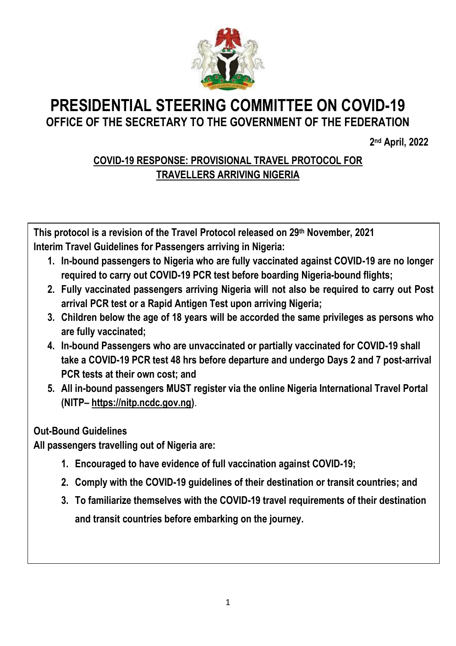

# **PRESIDENTIAL STEERING COMMITTEE ON COVID-19 OFFICE OF THE SECRETARY TO THE GOVERNMENT OF THE FEDERATION**

**2 nd April, 2022**

# **COVID-19 RESPONSE: PROVISIONAL TRAVEL PROTOCOL FOR TRAVELLERS ARRIVING NIGERIA**

**This protocol is a revision of the Travel Protocol released on 29th November, 2021 Interim Travel Guidelines for Passengers arriving in Nigeria:**

- **1. In-bound passengers to Nigeria who are fully vaccinated against COVID-19 are no longer required to carry out COVID-19 PCR test before boarding Nigeria-bound flights;**
- **2. Fully vaccinated passengers arriving Nigeria will not also be required to carry out Post arrival PCR test or a Rapid Antigen Test upon arriving Nigeria;**
- **3. Children below the age of 18 years will be accorded the same privileges as persons who are fully vaccinated;**
- **4. In-bound Passengers who are unvaccinated or partially vaccinated for COVID-19 shall take a COVID-19 PCR test 48 hrs before departure and undergo Days 2 and 7 post-arrival PCR tests at their own cost; and**
- **5. All in-bound passengers MUST register via the online Nigeria International Travel Portal (NITP– [https://nitp.ncdc.gov.ng\)](https://nitp.ncdc.gov.ng/)**.

# **Out-Bound Guidelines**

**All passengers travelling out of Nigeria are:**

- **1. Encouraged to have evidence of full vaccination against COVID-19;**
- **2. Comply with the COVID-19 guidelines of their destination or transit countries; and**
- **3. To familiarize themselves with the COVID-19 travel requirements of their destination and transit countries before embarking on the journey.**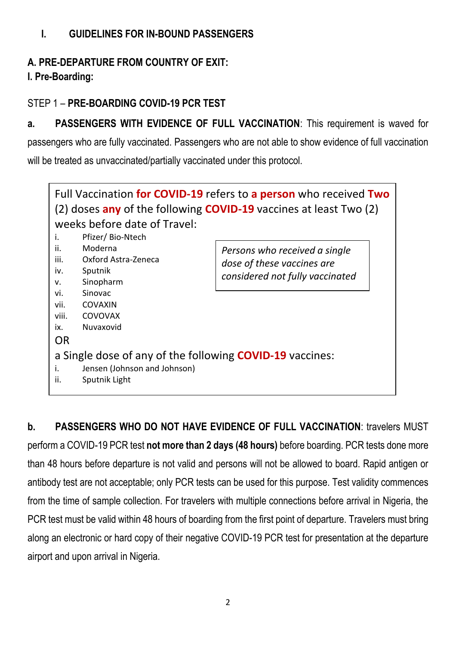# **I. GUIDELINES FOR IN-BOUND PASSENGERS**

# **A. PRE-DEPARTURE FROM COUNTRY OF EXIT:**

#### **I. Pre-Boarding:**

#### STEP 1 – **PRE-BOARDING COVID-19 PCR TEST**

**a. PASSENGERS WITH EVIDENCE OF FULL VACCINATION**: This requirement is waved for passengers who are fully vaccinated. Passengers who are not able to show evidence of full vaccination will be treated as unvaccinated/partially vaccinated under this protocol.



**b. PASSENGERS WHO DO NOT HAVE EVIDENCE OF FULL VACCINATION**: travelers MUST perform a COVID-19 PCR test **not more than 2 days (48 hours)** before boarding. PCR tests done more than 48 hours before departure is not valid and persons will not be allowed to board. Rapid antigen or antibody test are not acceptable; only PCR tests can be used for this purpose. Test validity commences from the time of sample collection. For travelers with multiple connections before arrival in Nigeria, the PCR test must be valid within 48 hours of boarding from the first point of departure. Travelers must bring along an electronic or hard copy of their negative COVID-19 PCR test for presentation at the departure airport and upon arrival in Nigeria.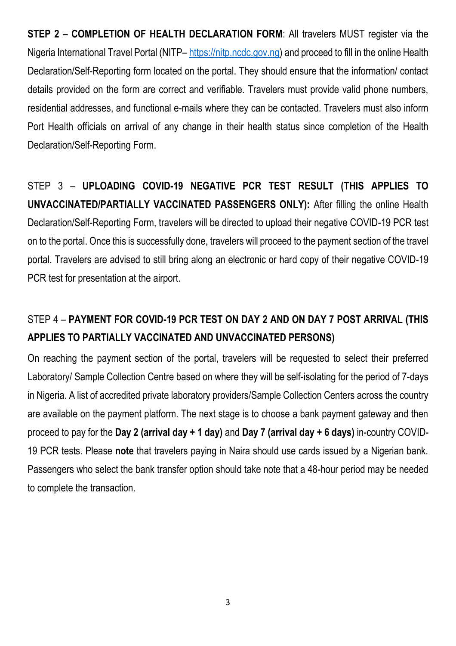**STEP 2 – COMPLETION OF HEALTH DECLARATION FORM**: All travelers MUST register via the Nigeria International Travel Portal (NITP– [https://nitp.ncdc.gov.ng\)](https://nitp.ncdc.gov.ng/) and proceed to fill in the online Health Declaration/Self-Reporting form located on the portal. They should ensure that the information/ contact details provided on the form are correct and verifiable. Travelers must provide valid phone numbers, residential addresses, and functional e-mails where they can be contacted. Travelers must also inform Port Health officials on arrival of any change in their health status since completion of the Health Declaration/Self-Reporting Form.

STEP 3 – **UPLOADING COVID-19 NEGATIVE PCR TEST RESULT (THIS APPLIES TO UNVACCINATED/PARTIALLY VACCINATED PASSENGERS ONLY):** After filling the online Health Declaration/Self-Reporting Form, travelers will be directed to upload their negative COVID-19 PCR test on to the portal. Once this is successfully done, travelers will proceed to the payment section of the travel portal. Travelers are advised to still bring along an electronic or hard copy of their negative COVID-19 PCR test for presentation at the airport.

# STEP 4 – **PAYMENT FOR COVID-19 PCR TEST ON DAY 2 AND ON DAY 7 POST ARRIVAL (THIS APPLIES TO PARTIALLY VACCINATED AND UNVACCINATED PERSONS)**

On reaching the payment section of the portal, travelers will be requested to select their preferred Laboratory/ Sample Collection Centre based on where they will be self-isolating for the period of 7-days in Nigeria. A list of accredited private laboratory providers/Sample Collection Centers across the country are available on the payment platform. The next stage is to choose a bank payment gateway and then proceed to pay for the **Day 2 (arrival day + 1 day)** and **Day 7 (arrival day + 6 days)** in-country COVID-19 PCR tests. Please **note** that travelers paying in Naira should use cards issued by a Nigerian bank. Passengers who select the bank transfer option should take note that a 48-hour period may be needed to complete the transaction.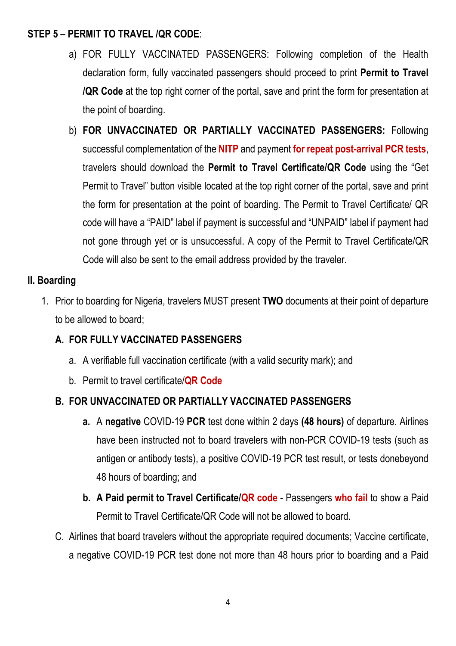#### **STEP 5 – PERMIT TO TRAVEL /QR CODE**:

- a) FOR FULLY VACCINATED PASSENGERS: Following completion of the Health declaration form, fully vaccinated passengers should proceed to print **Permit to Travel /QR Code** at the top right corner of the portal, save and print the form for presentation at the point of boarding.
- b) **FOR UNVACCINATED OR PARTIALLY VACCINATED PASSENGERS:** Following successful complementation of the **NITP** and payment **for repeat post-arrival PCR tests**, travelers should download the **Permit to Travel Certificate/QR Code** using the "Get Permit to Travel" button visible located at the top right corner of the portal, save and print the form for presentation at the point of boarding. The Permit to Travel Certificate/ QR code will have a "PAID" label if payment is successful and "UNPAID" label if payment had not gone through yet or is unsuccessful. A copy of the Permit to Travel Certificate/QR Code will also be sent to the email address provided by the traveler.

### **II. Boarding**

1. Prior to boarding for Nigeria, travelers MUST present **TWO** documents at their point of departure to be allowed to board;

# **A. FOR FULLY VACCINATED PASSENGERS**

- a. A verifiable full vaccination certificate (with a valid security mark); and
- b. Permit to travel certificate/**QR Code**

# **B. FOR UNVACCINATED OR PARTIALLY VACCINATED PASSENGERS**

- **a.** A **negative** COVID-19 **PCR** test done within 2 days **(48 hours)** of departure. Airlines have been instructed not to board travelers with non-PCR COVID-19 tests (such as antigen or antibody tests), a positive COVID-19 PCR test result, or tests donebeyond 48 hours of boarding; and
- **b. A Paid permit to Travel Certificate/QR code** Passengers **who fail** to show a Paid Permit to Travel Certificate/QR Code will not be allowed to board.
- C. Airlines that board travelers without the appropriate required documents; Vaccine certificate, a negative COVID-19 PCR test done not more than 48 hours prior to boarding and a Paid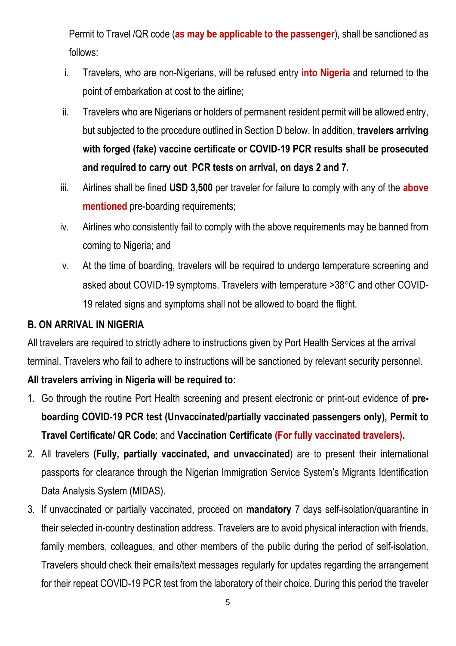Permit to Travel /QR code (**as may be applicable to the passenger**), shall be sanctioned as follows:

- i. Travelers, who are non-Nigerians, will be refused entry **into Nigeria** and returned to the point of embarkation at cost to the airline;
- ii. Travelers who are Nigerians or holders of permanent resident permit will be allowed entry, but subjected to the procedure outlined in Section D below. In addition, **travelers arriving with forged (fake) vaccine certificate or COVID-19 PCR results shall be prosecuted and required to carry out PCR tests on arrival, on days 2 and 7.**
- iii. Airlines shall be fined **USD 3,500** per traveler for failure to comply with any of the **above mentioned** pre-boarding requirements;
- iv. Airlines who consistently fail to comply with the above requirements may be banned from coming to Nigeria; and
- v. At the time of boarding, travelers will be required to undergo temperature screening and asked about COVID-19 symptoms. Travelers with temperature  $>38^{\circ}$ C and other COVID-19 related signs and symptoms shall not be allowed to board the flight.

#### **B. ON ARRIVAL IN NIGERIA**

All travelers are required to strictly adhere to instructions given by Port Health Services at the arrival terminal. Travelers who fail to adhere to instructions will be sanctioned by relevant security personnel.

#### **All travelers arriving in Nigeria will be required to:**

- 1. Go through the routine Port Health screening and present electronic or print-out evidence of **preboarding COVID-19 PCR test (Unvaccinated/partially vaccinated passengers only), Permit to Travel Certificate/ QR Code**; and **Vaccination Certificate (For fully vaccinated travelers).**
- 2. All travelers **(Fully, partially vaccinated, and unvaccinated**) are to present their international passports for clearance through the Nigerian Immigration Service System's Migrants Identification Data Analysis System (MIDAS).
- 3. If unvaccinated or partially vaccinated, proceed on **mandatory** 7 days self-isolation/quarantine in their selected in-country destination address. Travelers are to avoid physical interaction with friends, family members, colleagues, and other members of the public during the period of self-isolation. Travelers should check their emails/text messages regularly for updates regarding the arrangement for their repeat COVID-19 PCR test from the laboratory of their choice. During this period the traveler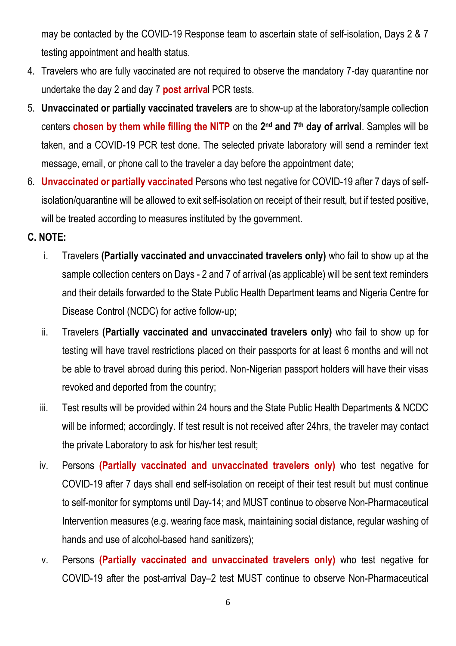may be contacted by the COVID-19 Response team to ascertain state of self-isolation, Days 2 & 7 testing appointment and health status.

- 4. Travelers who are fully vaccinated are not required to observe the mandatory 7-day quarantine nor undertake the day 2 and day 7 **post arriva**l PCR tests.
- 5. **Unvaccinated or partially vaccinated travelers** are to show-up at the laboratory/sample collection centers **chosen by them while filling the NITP** on the **2 nd and 7th day of arrival**. Samples will be taken, and a COVID-19 PCR test done. The selected private laboratory will send a reminder text message, email, or phone call to the traveler a day before the appointment date;
- 6. **Unvaccinated or partially vaccinated** Persons who test negative for COVID-19 after 7 days of selfisolation/quarantine will be allowed to exit self-isolation on receipt of their result, but if tested positive, will be treated according to measures instituted by the government.

#### **C. NOTE:**

- i. Travelers **(Partially vaccinated and unvaccinated travelers only)** who fail to show up at the sample collection centers on Days - 2 and 7 of arrival (as applicable) will be sent text reminders and their details forwarded to the State Public Health Department teams and Nigeria Centre for Disease Control (NCDC) for active follow-up;
- ii. Travelers **(Partially vaccinated and unvaccinated travelers only)** who fail to show up for testing will have travel restrictions placed on their passports for at least 6 months and will not be able to travel abroad during this period. Non-Nigerian passport holders will have their visas revoked and deported from the country;
- iii. Test results will be provided within 24 hours and the State Public Health Departments & NCDC will be informed; accordingly. If test result is not received after 24hrs, the traveler may contact the private Laboratory to ask for his/her test result;
- iv. Persons **(Partially vaccinated and unvaccinated travelers only)** who test negative for COVID-19 after 7 days shall end self-isolation on receipt of their test result but must continue to self-monitor for symptoms until Day-14; and MUST continue to observe Non-Pharmaceutical Intervention measures (e.g. wearing face mask, maintaining social distance, regular washing of hands and use of alcohol-based hand sanitizers);
- v. Persons **(Partially vaccinated and unvaccinated travelers only)** who test negative for COVID-19 after the post-arrival Day–2 test MUST continue to observe Non-Pharmaceutical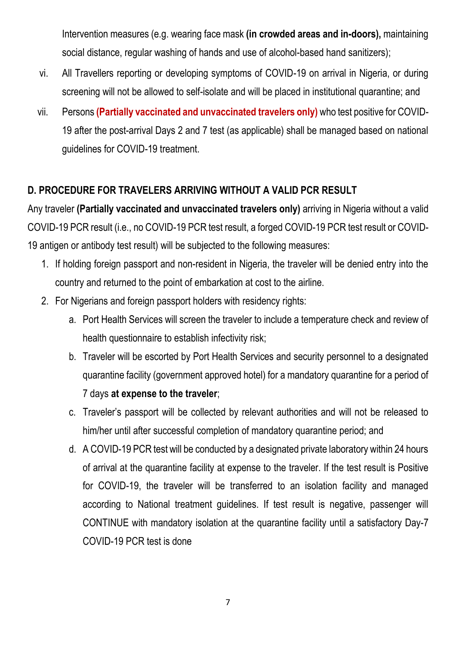Intervention measures (e.g. wearing face mask **(in crowded areas and in-doors),** maintaining social distance, regular washing of hands and use of alcohol-based hand sanitizers);

- vi. All Travellers reporting or developing symptoms of COVID-19 on arrival in Nigeria, or during screening will not be allowed to self-isolate and will be placed in institutional quarantine; and
- vii. Persons **(Partially vaccinated and unvaccinated travelers only)** who test positive for COVID-19 after the post-arrival Days 2 and 7 test (as applicable) shall be managed based on national guidelines for COVID-19 treatment.

### **D. PROCEDURE FOR TRAVELERS ARRIVING WITHOUT A VALID PCR RESULT**

Any traveler **(Partially vaccinated and unvaccinated travelers only)** arriving in Nigeria without a valid COVID-19 PCR result (i.e., no COVID-19 PCR test result, a forged COVID-19 PCR test result or COVID-19 antigen or antibody test result) will be subjected to the following measures:

- 1. If holding foreign passport and non-resident in Nigeria, the traveler will be denied entry into the country and returned to the point of embarkation at cost to the airline.
- 2. For Nigerians and foreign passport holders with residency rights:
	- a. Port Health Services will screen the traveler to include a temperature check and review of health questionnaire to establish infectivity risk;
	- b. Traveler will be escorted by Port Health Services and security personnel to a designated quarantine facility (government approved hotel) for a mandatory quarantine for a period of 7 days **at expense to the traveler**;
	- c. Traveler's passport will be collected by relevant authorities and will not be released to him/her until after successful completion of mandatory quarantine period; and
	- d. A COVID-19 PCR test will be conducted by a designated private laboratory within 24 hours of arrival at the quarantine facility at expense to the traveler. If the test result is Positive for COVID-19, the traveler will be transferred to an isolation facility and managed according to National treatment guidelines. If test result is negative, passenger will CONTINUE with mandatory isolation at the quarantine facility until a satisfactory Day-7 COVID-19 PCR test is done